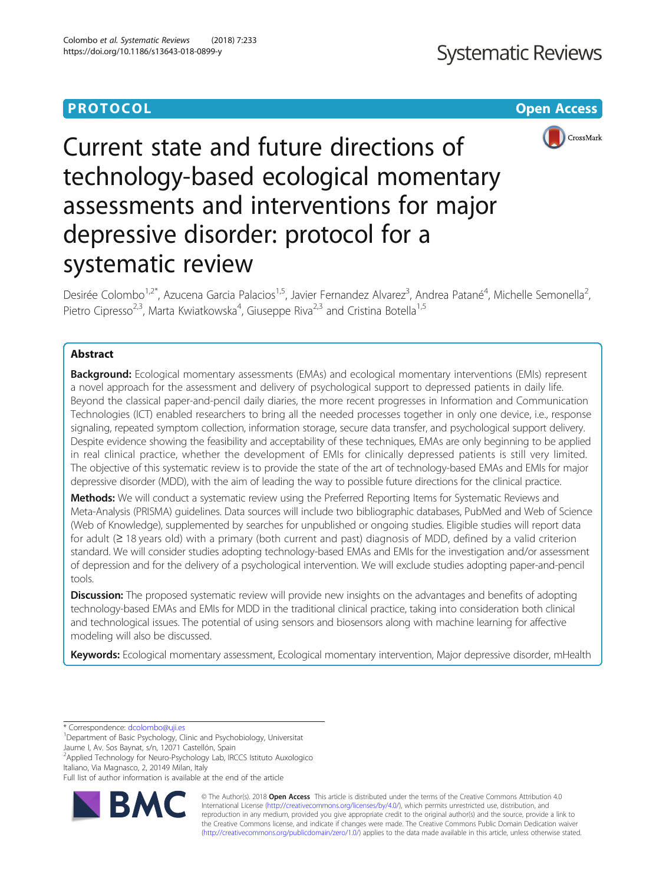## **PROTOCOL CONSUMING THE CONSUMING TEACHER CONSUMING THE CONSUMING TEACHER CONSUMING THE CONSUMING TEACHER CONSUMING**



Current state and future directions of technology-based ecological momentary assessments and interventions for major depressive disorder: protocol for a systematic review

Desirée Colombo<sup>1,2\*</sup>, Azucena Garcia Palacios<sup>1,5</sup>, Javier Fernandez Alvarez<sup>3</sup>, Andrea Patané<sup>4</sup>, Michelle Semonella<sup>2</sup> , Pietro Cipresso<sup>2,3</sup>, Marta Kwiatkowska<sup>4</sup>, Giuseppe Riva<sup>2,3</sup> and Cristina Botella<sup>1,5</sup>

## Abstract

**Background:** Ecological momentary assessments (EMAs) and ecological momentary interventions (EMIs) represent a novel approach for the assessment and delivery of psychological support to depressed patients in daily life. Beyond the classical paper-and-pencil daily diaries, the more recent progresses in Information and Communication Technologies (ICT) enabled researchers to bring all the needed processes together in only one device, i.e., response signaling, repeated symptom collection, information storage, secure data transfer, and psychological support delivery. Despite evidence showing the feasibility and acceptability of these techniques, EMAs are only beginning to be applied in real clinical practice, whether the development of EMIs for clinically depressed patients is still very limited. The objective of this systematic review is to provide the state of the art of technology-based EMAs and EMIs for major depressive disorder (MDD), with the aim of leading the way to possible future directions for the clinical practice.

Methods: We will conduct a systematic review using the Preferred Reporting Items for Systematic Reviews and Meta-Analysis (PRISMA) guidelines. Data sources will include two bibliographic databases, PubMed and Web of Science (Web of Knowledge), supplemented by searches for unpublished or ongoing studies. Eligible studies will report data for adult (≥ 18 years old) with a primary (both current and past) diagnosis of MDD, defined by a valid criterion standard. We will consider studies adopting technology-based EMAs and EMIs for the investigation and/or assessment of depression and for the delivery of a psychological intervention. We will exclude studies adopting paper-and-pencil tools.

**Discussion:** The proposed systematic review will provide new insights on the advantages and benefits of adopting technology-based EMAs and EMIs for MDD in the traditional clinical practice, taking into consideration both clinical and technological issues. The potential of using sensors and biosensors along with machine learning for affective modeling will also be discussed.

Keywords: Ecological momentary assessment, Ecological momentary intervention, Major depressive disorder, mHealth

\* Correspondence: [dcolombo@uji.es](mailto:dcolombo@uji.es) <sup>1</sup>

<sup>1</sup>Department of Basic Psychology, Clinic and Psychobiology, Universitat

Jaume I, Av. Sos Baynat, s/n, 12071 Castellón, Spain <sup>2</sup> Applied Technology for Neuro-Psychology Lab, IRCCS Istituto Auxologico

Italiano, Via Magnasco, 2, 20149 Milan, Italy

Full list of author information is available at the end of the article



© The Author(s). 2018 Open Access This article is distributed under the terms of the Creative Commons Attribution 4.0 International License [\(http://creativecommons.org/licenses/by/4.0/](http://creativecommons.org/licenses/by/4.0/)), which permits unrestricted use, distribution, and reproduction in any medium, provided you give appropriate credit to the original author(s) and the source, provide a link to the Creative Commons license, and indicate if changes were made. The Creative Commons Public Domain Dedication waiver [\(http://creativecommons.org/publicdomain/zero/1.0/](http://creativecommons.org/publicdomain/zero/1.0/)) applies to the data made available in this article, unless otherwise stated.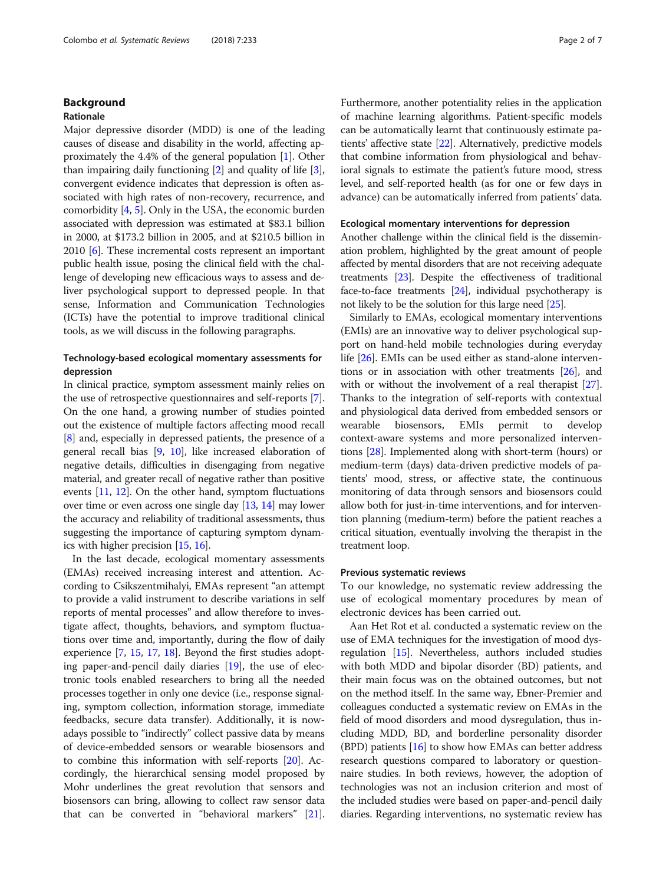## Background

### Rationale

Major depressive disorder (MDD) is one of the leading causes of disease and disability in the world, affecting approximately the 4.4% of the general population [\[1](#page-5-0)]. Other than impairing daily functioning [[2\]](#page-5-0) and quality of life [[3](#page-5-0)], convergent evidence indicates that depression is often associated with high rates of non-recovery, recurrence, and comorbidity [[4,](#page-5-0) [5](#page-5-0)]. Only in the USA, the economic burden associated with depression was estimated at \$83.1 billion in 2000, at \$173.2 billion in 2005, and at \$210.5 billion in 2010 [\[6](#page-5-0)]. These incremental costs represent an important public health issue, posing the clinical field with the challenge of developing new efficacious ways to assess and deliver psychological support to depressed people. In that sense, Information and Communication Technologies (ICTs) have the potential to improve traditional clinical tools, as we will discuss in the following paragraphs.

## Technology-based ecological momentary assessments for depression

In clinical practice, symptom assessment mainly relies on the use of retrospective questionnaires and self-reports [[7](#page-5-0)]. On the one hand, a growing number of studies pointed out the existence of multiple factors affecting mood recall [[8\]](#page-5-0) and, especially in depressed patients, the presence of a general recall bias [\[9](#page-5-0), [10\]](#page-5-0), like increased elaboration of negative details, difficulties in disengaging from negative material, and greater recall of negative rather than positive events [\[11,](#page-5-0) [12\]](#page-5-0). On the other hand, symptom fluctuations over time or even across one single day [\[13,](#page-5-0) [14](#page-5-0)] may lower the accuracy and reliability of traditional assessments, thus suggesting the importance of capturing symptom dynamics with higher precision [[15](#page-5-0), [16](#page-5-0)].

In the last decade, ecological momentary assessments (EMAs) received increasing interest and attention. According to Csikszentmihalyi, EMAs represent "an attempt to provide a valid instrument to describe variations in self reports of mental processes" and allow therefore to investigate affect, thoughts, behaviors, and symptom fluctuations over time and, importantly, during the flow of daily experience [\[7,](#page-5-0) [15,](#page-5-0) [17](#page-5-0), [18](#page-5-0)]. Beyond the first studies adopting paper-and-pencil daily diaries [\[19\]](#page-5-0), the use of electronic tools enabled researchers to bring all the needed processes together in only one device (i.e., response signaling, symptom collection, information storage, immediate feedbacks, secure data transfer). Additionally, it is nowadays possible to "indirectly" collect passive data by means of device-embedded sensors or wearable biosensors and to combine this information with self-reports [\[20](#page-5-0)]. Accordingly, the hierarchical sensing model proposed by Mohr underlines the great revolution that sensors and biosensors can bring, allowing to collect raw sensor data that can be converted in "behavioral markers" [[21](#page-6-0)].

Furthermore, another potentiality relies in the application of machine learning algorithms. Patient-specific models can be automatically learnt that continuously estimate patients' affective state [[22](#page-6-0)]. Alternatively, predictive models that combine information from physiological and behavioral signals to estimate the patient's future mood, stress level, and self-reported health (as for one or few days in advance) can be automatically inferred from patients' data.

### Ecological momentary interventions for depression

Another challenge within the clinical field is the dissemination problem, highlighted by the great amount of people affected by mental disorders that are not receiving adequate treatments [[23](#page-6-0)]. Despite the effectiveness of traditional face-to-face treatments [\[24\]](#page-6-0), individual psychotherapy is not likely to be the solution for this large need [[25](#page-6-0)].

Similarly to EMAs, ecological momentary interventions (EMIs) are an innovative way to deliver psychological support on hand-held mobile technologies during everyday life [[26](#page-6-0)]. EMIs can be used either as stand-alone interventions or in association with other treatments [\[26\]](#page-6-0), and with or without the involvement of a real therapist [[27](#page-6-0)]. Thanks to the integration of self-reports with contextual and physiological data derived from embedded sensors or wearable biosensors, EMIs permit to develop context-aware systems and more personalized interventions [[28](#page-6-0)]. Implemented along with short-term (hours) or medium-term (days) data-driven predictive models of patients' mood, stress, or affective state, the continuous monitoring of data through sensors and biosensors could allow both for just-in-time interventions, and for intervention planning (medium-term) before the patient reaches a critical situation, eventually involving the therapist in the treatment loop.

### Previous systematic reviews

To our knowledge, no systematic review addressing the use of ecological momentary procedures by mean of electronic devices has been carried out.

Aan Het Rot et al. conducted a systematic review on the use of EMA techniques for the investigation of mood dysregulation [\[15\]](#page-5-0). Nevertheless, authors included studies with both MDD and bipolar disorder (BD) patients, and their main focus was on the obtained outcomes, but not on the method itself. In the same way, Ebner-Premier and colleagues conducted a systematic review on EMAs in the field of mood disorders and mood dysregulation, thus including MDD, BD, and borderline personality disorder (BPD) patients [[16\]](#page-5-0) to show how EMAs can better address research questions compared to laboratory or questionnaire studies. In both reviews, however, the adoption of technologies was not an inclusion criterion and most of the included studies were based on paper-and-pencil daily diaries. Regarding interventions, no systematic review has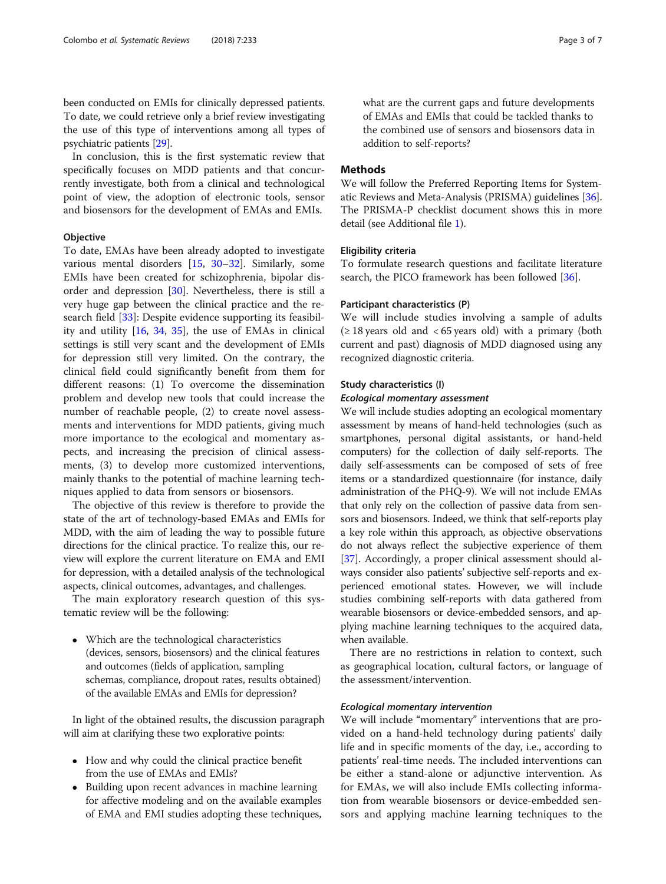been conducted on EMIs for clinically depressed patients. To date, we could retrieve only a brief review investigating the use of this type of interventions among all types of psychiatric patients [\[29](#page-6-0)].

In conclusion, this is the first systematic review that specifically focuses on MDD patients and that concurrently investigate, both from a clinical and technological point of view, the adoption of electronic tools, sensor and biosensors for the development of EMAs and EMIs.

### Objective

To date, EMAs have been already adopted to investigate various mental disorders [\[15](#page-5-0), [30](#page-6-0)–[32\]](#page-6-0). Similarly, some EMIs have been created for schizophrenia, bipolar disorder and depression [\[30](#page-6-0)]. Nevertheless, there is still a very huge gap between the clinical practice and the research field [\[33](#page-6-0)]: Despite evidence supporting its feasibility and utility [\[16](#page-5-0), [34](#page-6-0), [35](#page-6-0)], the use of EMAs in clinical settings is still very scant and the development of EMIs for depression still very limited. On the contrary, the clinical field could significantly benefit from them for different reasons: (1) To overcome the dissemination problem and develop new tools that could increase the number of reachable people, (2) to create novel assessments and interventions for MDD patients, giving much more importance to the ecological and momentary aspects, and increasing the precision of clinical assessments, (3) to develop more customized interventions, mainly thanks to the potential of machine learning techniques applied to data from sensors or biosensors.

The objective of this review is therefore to provide the state of the art of technology-based EMAs and EMIs for MDD, with the aim of leading the way to possible future directions for the clinical practice. To realize this, our review will explore the current literature on EMA and EMI for depression, with a detailed analysis of the technological aspects, clinical outcomes, advantages, and challenges.

The main exploratory research question of this systematic review will be the following:

 Which are the technological characteristics (devices, sensors, biosensors) and the clinical features and outcomes (fields of application, sampling schemas, compliance, dropout rates, results obtained) of the available EMAs and EMIs for depression?

In light of the obtained results, the discussion paragraph will aim at clarifying these two explorative points:

- How and why could the clinical practice benefit from the use of EMAs and EMIs?
- Building upon recent advances in machine learning for affective modeling and on the available examples of EMA and EMI studies adopting these techniques,

what are the current gaps and future developments of EMAs and EMIs that could be tackled thanks to the combined use of sensors and biosensors data in addition to self-reports?

### Methods

We will follow the Preferred Reporting Items for Systematic Reviews and Meta-Analysis (PRISMA) guidelines [[36](#page-6-0)]. The PRISMA-P checklist document shows this in more detail (see Additional file [1\)](#page-5-0).

## Eligibility criteria

To formulate research questions and facilitate literature search, the PICO framework has been followed [\[36](#page-6-0)].

## Participant characteristics (P)

We will include studies involving a sample of adults  $\geq$  18 years old and < 65 years old) with a primary (both current and past) diagnosis of MDD diagnosed using any recognized diagnostic criteria.

### Study characteristics (I)

We will include studies adopting an ecological momentary assessment by means of hand-held technologies (such as smartphones, personal digital assistants, or hand-held computers) for the collection of daily self-reports. The daily self-assessments can be composed of sets of free items or a standardized questionnaire (for instance, daily administration of the PHQ-9). We will not include EMAs that only rely on the collection of passive data from sensors and biosensors. Indeed, we think that self-reports play a key role within this approach, as objective observations do not always reflect the subjective experience of them [[37](#page-6-0)]. Accordingly, a proper clinical assessment should always consider also patients' subjective self-reports and experienced emotional states. However, we will include studies combining self-reports with data gathered from wearable biosensors or device-embedded sensors, and applying machine learning techniques to the acquired data, when available.

There are no restrictions in relation to context, such as geographical location, cultural factors, or language of the assessment/intervention.

We will include "momentary" interventions that are provided on a hand-held technology during patients' daily life and in specific moments of the day, i.e., according to patients' real-time needs. The included interventions can be either a stand-alone or adjunctive intervention. As for EMAs, we will also include EMIs collecting information from wearable biosensors or device-embedded sensors and applying machine learning techniques to the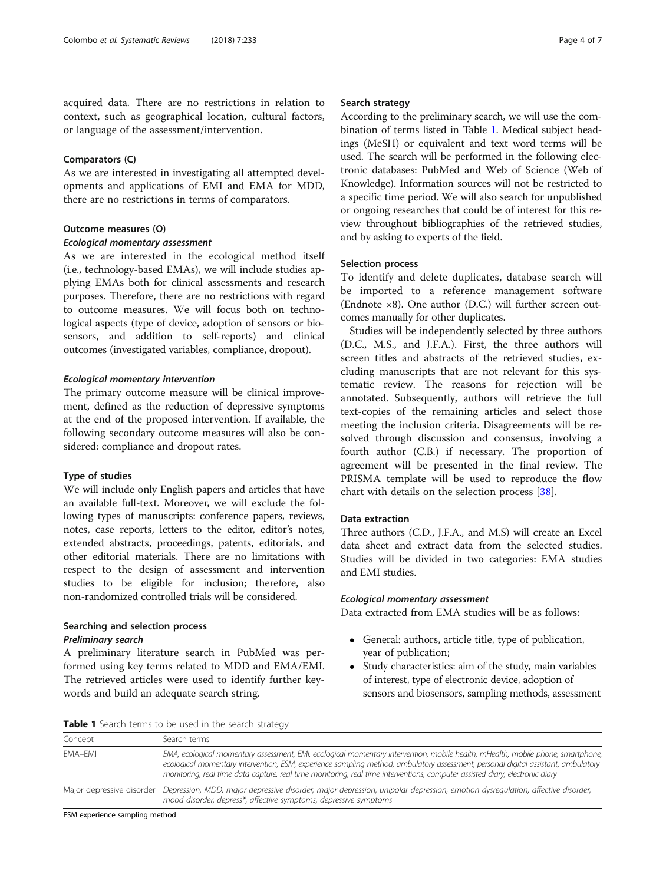acquired data. There are no restrictions in relation to context, such as geographical location, cultural factors, or language of the assessment/intervention.

## Comparators (C)

As we are interested in investigating all attempted developments and applications of EMI and EMA for MDD, there are no restrictions in terms of comparators.

### Outcome measures (O)

As we are interested in the ecological method itself (i.e., technology-based EMAs), we will include studies applying EMAs both for clinical assessments and research purposes. Therefore, there are no restrictions with regard to outcome measures. We will focus both on technological aspects (type of device, adoption of sensors or biosensors, and addition to self-reports) and clinical outcomes (investigated variables, compliance, dropout).

The primary outcome measure will be clinical improvement, defined as the reduction of depressive symptoms at the end of the proposed intervention. If available, the following secondary outcome measures will also be considered: compliance and dropout rates.

### Type of studies

We will include only English papers and articles that have an available full-text. Moreover, we will exclude the following types of manuscripts: conference papers, reviews, notes, case reports, letters to the editor, editor's notes, extended abstracts, proceedings, patents, editorials, and other editorial materials. There are no limitations with respect to the design of assessment and intervention studies to be eligible for inclusion; therefore, also non-randomized controlled trials will be considered.

## Searching and selection process

A preliminary literature search in PubMed was performed using key terms related to MDD and EMA/EMI. The retrieved articles were used to identify further keywords and build an adequate search string.

### Search strategy

According to the preliminary search, we will use the combination of terms listed in Table 1. Medical subject headings (MeSH) or equivalent and text word terms will be used. The search will be performed in the following electronic databases: PubMed and Web of Science (Web of Knowledge). Information sources will not be restricted to a specific time period. We will also search for unpublished or ongoing researches that could be of interest for this review throughout bibliographies of the retrieved studies, and by asking to experts of the field.

## Selection process

To identify and delete duplicates, database search will be imported to a reference management software (Endnote ×8). One author (D.C.) will further screen outcomes manually for other duplicates.

Studies will be independently selected by three authors (D.C., M.S., and J.F.A.). First, the three authors will screen titles and abstracts of the retrieved studies, excluding manuscripts that are not relevant for this systematic review. The reasons for rejection will be annotated. Subsequently, authors will retrieve the full text-copies of the remaining articles and select those meeting the inclusion criteria. Disagreements will be resolved through discussion and consensus, involving a fourth author (C.B.) if necessary. The proportion of agreement will be presented in the final review. The PRISMA template will be used to reproduce the flow chart with details on the selection process [\[38\]](#page-6-0).

### Data extraction

Three authors (C.D., J.F.A., and M.S) will create an Excel data sheet and extract data from the selected studies. Studies will be divided in two categories: EMA studies and EMI studies.

Data extracted from EMA studies will be as follows:

- General: authors, article title, type of publication, year of publication;
- Study characteristics: aim of the study, main variables of interest, type of electronic device, adoption of sensors and biosensors, sampling methods, assessment

Table 1 Search terms to be used in the search strategy

| Concept                   | Search terms                                                                                                                                                                                                                                                                                                                                                                                         |
|---------------------------|------------------------------------------------------------------------------------------------------------------------------------------------------------------------------------------------------------------------------------------------------------------------------------------------------------------------------------------------------------------------------------------------------|
| FMA-FMI                   | EMA, ecological momentary assessment, EMI, ecological momentary intervention, mobile health, mHealth, mobile phone, smartphone,<br>ecological momentary intervention, ESM, experience sampling method, ambulatory assessment, personal digital assistant, ambulatory<br>monitoring, real time data capture, real time monitoring, real time interventions, computer assisted diary, electronic diary |
| Major depressive disorder | Depression, MDD, major depressive disorder, major depression, unipolar depression, emotion dysregulation, affective disorder,<br>mood disorder, depress*, affective symptoms, depressive symptoms                                                                                                                                                                                                    |

ESM experience sampling method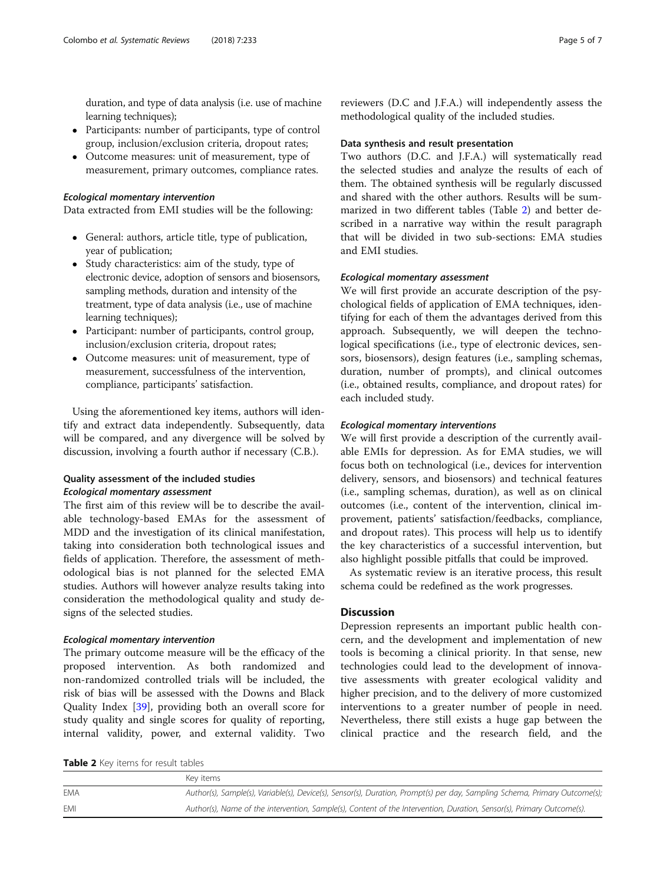duration, and type of data analysis (i.e. use of machine learning techniques);

- Participants: number of participants, type of control group, inclusion/exclusion criteria, dropout rates;
- Outcome measures: unit of measurement, type of measurement, primary outcomes, compliance rates.

Data extracted from EMI studies will be the following:

- General: authors, article title, type of publication, year of publication;
- Study characteristics: aim of the study, type of electronic device, adoption of sensors and biosensors, sampling methods, duration and intensity of the treatment, type of data analysis (i.e., use of machine learning techniques);
- Participant: number of participants, control group, inclusion/exclusion criteria, dropout rates;
- Outcome measures: unit of measurement, type of measurement, successfulness of the intervention, compliance, participants' satisfaction.

Using the aforementioned key items, authors will identify and extract data independently. Subsequently, data will be compared, and any divergence will be solved by discussion, involving a fourth author if necessary (C.B.).

# Quality assessment of the included studies

The first aim of this review will be to describe the available technology-based EMAs for the assessment of MDD and the investigation of its clinical manifestation, taking into consideration both technological issues and fields of application. Therefore, the assessment of methodological bias is not planned for the selected EMA studies. Authors will however analyze results taking into consideration the methodological quality and study designs of the selected studies.

The primary outcome measure will be the efficacy of the proposed intervention. As both randomized and non-randomized controlled trials will be included, the risk of bias will be assessed with the Downs and Black Quality Index [[39\]](#page-6-0), providing both an overall score for study quality and single scores for quality of reporting, internal validity, power, and external validity. Two

reviewers (D.C and J.F.A.) will independently assess the methodological quality of the included studies.

### Data synthesis and result presentation

Two authors (D.C. and J.F.A.) will systematically read the selected studies and analyze the results of each of them. The obtained synthesis will be regularly discussed and shared with the other authors. Results will be summarized in two different tables (Table 2) and better described in a narrative way within the result paragraph that will be divided in two sub-sections: EMA studies and EMI studies.

We will first provide an accurate description of the psychological fields of application of EMA techniques, identifying for each of them the advantages derived from this approach. Subsequently, we will deepen the technological specifications (i.e., type of electronic devices, sensors, biosensors), design features (i.e., sampling schemas, duration, number of prompts), and clinical outcomes (i.e., obtained results, compliance, and dropout rates) for each included study.

We will first provide a description of the currently available EMIs for depression. As for EMA studies, we will focus both on technological (i.e., devices for intervention delivery, sensors, and biosensors) and technical features (i.e., sampling schemas, duration), as well as on clinical outcomes (i.e., content of the intervention, clinical improvement, patients' satisfaction/feedbacks, compliance, and dropout rates). This process will help us to identify the key characteristics of a successful intervention, but also highlight possible pitfalls that could be improved.

As systematic review is an iterative process, this result schema could be redefined as the work progresses.

## **Discussion**

Depression represents an important public health concern, and the development and implementation of new tools is becoming a clinical priority. In that sense, new technologies could lead to the development of innovative assessments with greater ecological validity and higher precision, and to the delivery of more customized interventions to a greater number of people in need. Nevertheless, there still exists a huge gap between the clinical practice and the research field, and the

Table 2 Key items for result tables

|            | Key items                                                                                                                  |
|------------|----------------------------------------------------------------------------------------------------------------------------|
| EMA        | Author(s), Sample(s), Variable(s), Device(s), Sensor(s), Duration, Prompt(s) per day, Sampling Schema, Primary Outcome(s); |
| <b>FMI</b> | Author(s), Name of the intervention, Sample(s), Content of the Intervention, Duration, Sensor(s), Primary Outcome(s).      |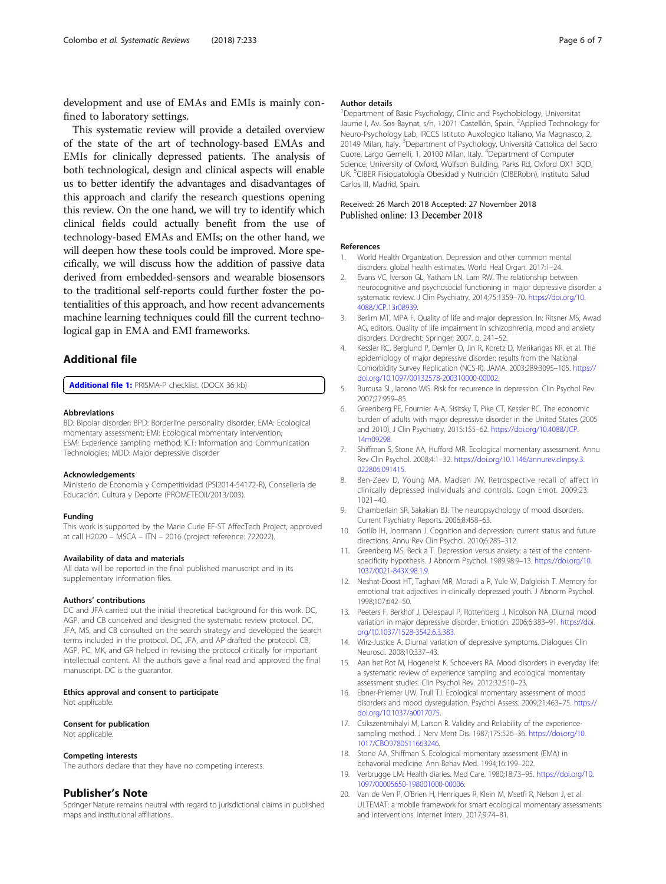<span id="page-5-0"></span>development and use of EMAs and EMIs is mainly confined to laboratory settings.

This systematic review will provide a detailed overview of the state of the art of technology-based EMAs and EMIs for clinically depressed patients. The analysis of both technological, design and clinical aspects will enable us to better identify the advantages and disadvantages of this approach and clarify the research questions opening this review. On the one hand, we will try to identify which clinical fields could actually benefit from the use of technology-based EMAs and EMIs; on the other hand, we will deepen how these tools could be improved. More specifically, we will discuss how the addition of passive data derived from embedded-sensors and wearable biosensors to the traditional self-reports could further foster the potentialities of this approach, and how recent advancements machine learning techniques could fill the current technological gap in EMA and EMI frameworks.

### Additional file

[Additional file 1:](https://doi.org/10.1186/s13643-018-0899-y) PRISMA-P checklist. (DOCX 36 kb)

### Abbreviations

BD: Bipolar disorder; BPD: Borderline personality disorder; EMA: Ecological momentary assessment; EMI: Ecological momentary intervention; ESM: Experience sampling method; ICT: Information and Communication Technologies; MDD: Major depressive disorder

### Acknowledgements

Ministerio de Economía y Competitividad (PSI2014-54172-R), Conselleria de Educación, Cultura y Deporte (PROMETEOII/2013/003).

### Funding

This work is supported by the Marie Curie EF-ST AffecTech Project, approved at call H2020 – MSCA – ITN – 2016 (project reference: 722022).

### Availability of data and materials

All data will be reported in the final published manuscript and in its supplementary information files.

### Authors' contributions

DC and JFA carried out the initial theoretical background for this work. DC, AGP, and CB conceived and designed the systematic review protocol. DC, JFA, MS, and CB consulted on the search strategy and developed the search terms included in the protocol. DC, JFA, and AP drafted the protocol. CB, AGP, PC, MK, and GR helped in revising the protocol critically for important intellectual content. All the authors gave a final read and approved the final manuscript. DC is the guarantor.

### Ethics approval and consent to participate

Not applicable.

### Consent for publication

Not applicable.

### Competing interests

The authors declare that they have no competing interests.

### Publisher's Note

Springer Nature remains neutral with regard to jurisdictional claims in published maps and institutional affiliations.

### Author details

<sup>1</sup>Department of Basic Psychology, Clinic and Psychobiology, Universitat Jaume I, Av. Sos Baynat, s/n, 12071 Castellón, Spain. <sup>2</sup>Applied Technology for Neuro-Psychology Lab, IRCCS Istituto Auxologico Italiano, Via Magnasco, 2, 20149 Milan, Italy. <sup>3</sup>Department of Psychology, Università Cattolica del Sacro Cuore, Largo Gemelli, 1, 20100 Milan, Italy. <sup>4</sup>Department of Computer Science, University of Oxford, Wolfson Building, Parks Rd, Oxford OX1 3QD, UK. <sup>5</sup>CIBER Fisiopatología Obesidad y Nutrición (CIBERobn), Instituto Salud Carlos III, Madrid, Spain.

### Received: 26 March 2018 Accepted: 27 November 2018 Published online: 13 December 2018

### References

- 1. World Health Organization. Depression and other common mental disorders: global health estimates. World Heal Organ. 2017:1–24.
- 2. Evans VC, Iverson GL, Yatham LN, Lam RW. The relationship between neurocognitive and psychosocial functioning in major depressive disorder: a systematic review. J Clin Psychiatry. 2014;75:1359–70. [https://doi.org/10.](https://doi.org/10.4088/JCP.13r08939) [4088/JCP.13r08939.](https://doi.org/10.4088/JCP.13r08939)
- 3. Berlim MT, MPA F. Quality of life and major depression. In: Ritsner MS, Awad AG, editors. Quality of life impairment in schizophrenia, mood and anxiety disorders. Dordrecht: Springer; 2007. p. 241–52.
- 4. Kessler RC, Berglund P, Demler O, Jin R, Koretz D, Merikangas KR, et al. The epidemiology of major depressive disorder: results from the National Comorbidity Survey Replication (NCS-R). JAMA. 2003;289:3095–105. [https://](https://doi.org/10.1097/00132578-200310000-00002.) [doi.org/10.1097/00132578-200310000-00002.](https://doi.org/10.1097/00132578-200310000-00002.)
- 5. Burcusa SL, Iacono WG. Risk for recurrence in depression. Clin Psychol Rev. 2007;27:959–85.
- 6. Greenberg PE, Fournier A-A, Sisitsky T, Pike CT, Kessler RC. The economic burden of adults with major depressive disorder in the United States (2005 and 2010). J Clin Psychiatry. 2015:155–62. [https://doi.org/10.4088/JCP.](https://doi.org/10.4088/JCP.14m09298) [14m09298](https://doi.org/10.4088/JCP.14m09298).
- 7. Shiffman S, Stone AA, Hufford MR. Ecological momentary assessment. Annu Rev Clin Psychol. 2008;4:1–32. [https://doi.org/10.1146/annurev.clinpsy.3.](https://doi.org/10.1146/annurev.clinpsy.3.022806.091415.) [022806.091415.](https://doi.org/10.1146/annurev.clinpsy.3.022806.091415.)
- 8. Ben-Zeev D, Young MA, Madsen JW. Retrospective recall of affect in clinically depressed individuals and controls. Cogn Emot. 2009;23: 1021–40.
- 9. Chamberlain SR, Sakakian BJ. The neuropsychology of mood disorders. Current Psychiatry Reports. 2006;8:458–63.
- 10. Gotlib IH, Joormann J. Cognition and depression: current status and future directions. Annu Rev Clin Psychol. 2010;6:285–312.
- 11. Greenberg MS, Beck a T. Depression versus anxiety: a test of the contentspecificity hypothesis. J Abnorm Psychol. 1989;98:9–13. [https://doi.org/10.](https://doi.org/10.1037/0021-843X.98.1.9) [1037/0021-843X.98.1.9.](https://doi.org/10.1037/0021-843X.98.1.9)
- 12. Neshat-Doost HT, Taghavi MR, Moradi a R, Yule W, Dalgleish T. Memory for emotional trait adjectives in clinically depressed youth. J Abnorm Psychol. 1998;107:642–50.
- 13. Peeters F, Berkhof J, Delespaul P, Rottenberg J, Nicolson NA. Diurnal mood variation in major depressive disorder. Emotion. 2006;6:383–91. [https://doi.](https://doi.org/10.1037/1528-3542.6.3.383) [org/10.1037/1528-3542.6.3.383.](https://doi.org/10.1037/1528-3542.6.3.383)
- 14. Wirz-Justice A. Diurnal variation of depressive symptoms. Dialogues Clin Neurosci. 2008;10:337–43.
- 15. Aan het Rot M, Hogenelst K, Schoevers RA. Mood disorders in everyday life: a systematic review of experience sampling and ecological momentary assessment studies. Clin Psychol Rev. 2012;32:510–23.
- 16. Ebner-Priemer UW, Trull TJ. Ecological momentary assessment of mood disorders and mood dysregulation. Psychol Assess. 2009;21:463–75. [https://](https://doi.org/10.1037/a0017075) [doi.org/10.1037/a0017075](https://doi.org/10.1037/a0017075).
- 17. Csikszentmihalyi M, Larson R. Validity and Reliability of the experiencesampling method. J Nerv Ment Dis. 1987;175:526–36. [https://doi.org/10.](https://doi.org/10.1017/CBO9780511663246.) [1017/CBO9780511663246.](https://doi.org/10.1017/CBO9780511663246.)
- 18. Stone AA, Shiffman S. Ecological momentary assessment (EMA) in behavorial medicine. Ann Behav Med. 1994;16:199–202.
- 19. Verbrugge LM. Health diaries. Med Care. 1980;18:73–95. [https://doi.org/10.](https://doi.org/10.1097/00005650-198001000-00006) [1097/00005650-198001000-00006](https://doi.org/10.1097/00005650-198001000-00006).
- 20. Van de Ven P, O'Brien H, Henriques R, Klein M, Msetfi R, Nelson J, et al. ULTEMAT: a mobile framework for smart ecological momentary assessments and interventions. Internet Interv. 2017;9:74–81.